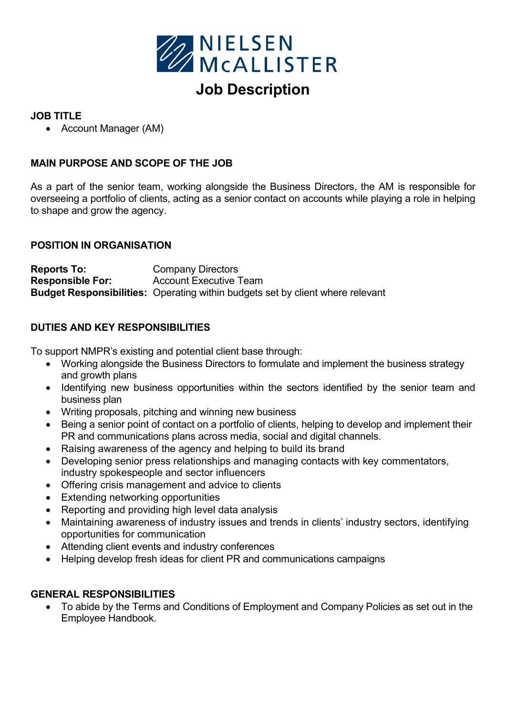

# Job Description

## JOB TITLE

Account Manager (AM)

### MAIN PURPOSE AND SCOPE OF THE JOB

As a part of the senior team, working alongside the Business Directors, the AM is responsible for overseeing a portfolio of clients, acting as a senior contact on accounts while playing a role in helping to shape and grow the agency.

#### POSITION IN ORGANISATION

Reports To: Company Directors Responsible For: Account Executive Team Budget Responsibilities: Operating within budgets set by client where relevant

## DUTIES AND KEY RESPONSIBILITIES

To support NMPR's existing and potential client base through:

- Working alongside the Business Directors to formulate and implement the business strategy and growth plans
- Identifying new business opportunities within the sectors identified by the senior team and business plan
- Writing proposals, pitching and winning new business
- Being a senior point of contact on a portfolio of clients, helping to develop and implement their PR and communications plans across media, social and digital channels.
- Raising awareness of the agency and helping to build its brand
- Developing senior press relationships and managing contacts with key commentators, industry spokespeople and sector influencers
- Offering crisis management and advice to clients
- Extending networking opportunities
- Reporting and providing high level data analysis
- Maintaining awareness of industry issues and trends in clients' industry sectors, identifying opportunities for communication
- Attending client events and industry conferences
- Helping develop fresh ideas for client PR and communications campaigns

#### GENERAL RESPONSIBILITIES

 To abide by the Terms and Conditions of Employment and Company Policies as set out in the Employee Handbook.